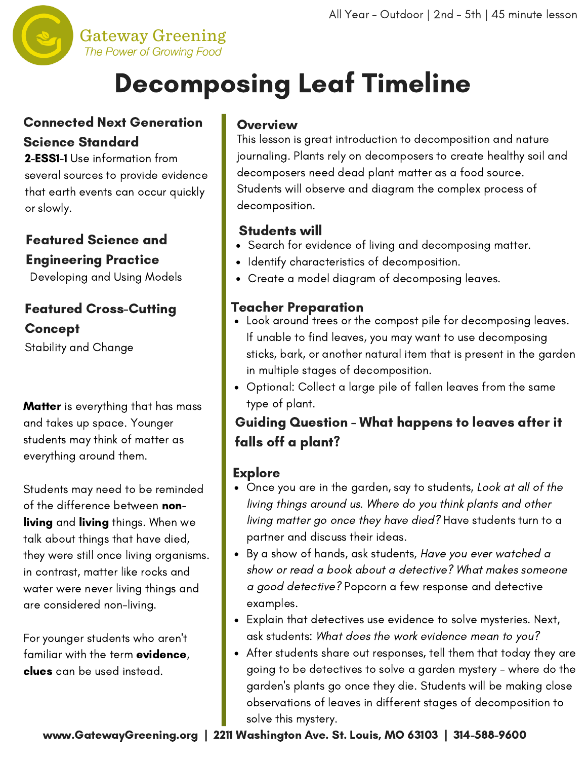

## Decomposing Leaf Timeline

## Connected Next Generation Science Standard

2-ESS1-1 Use information from several sources to provide evidence that earth events can occur quickly or slowly.

## Featured Science and Engineering Practice

Developing and Using Models

## Featured Cross-Cutting Concept

Stability and Change

**Matter** is everything that has mass and takes up space. Younger students may think of matter as everything around them.

Students may need to be reminded of the difference between nonliving and living things. When we talk about things that have died, they were still once living organisms. in contrast, matter like rocks and water were never living things and are considered non-living.

For younger students who aren't familiar with the term evidence, clues can be used instead.

## **Overview**

This lesson is great introduction to decomposition and nature journaling. Plants rely on decomposers to create healthy soil and decomposers need dead plant matter as a food source. Students will observe and diagram the complex process of decomposition.

## Students will

- Search for evidence of living and decomposing matter.
- Identify characteristics of decomposition.
- Create a model diagram of decomposing leaves.

## Teacher Preparation

- Look around trees or the compost pile for decomposing leaves. If unable to find leaves, you may want to use decomposing sticks, bark, or another natural item that is present in the garden in multiple stages of decomposition.
- Optional: Collect a large pile of fallen leaves from the same type of plant.

## Guiding Question - What happens to leaves after it falls off a plant?

## **Explore**

- Once you are in the garden, say to students, Look at all of the living things around us. Where do you think plants and other living matter go once they have died? Have students turn to a partner and discuss their ideas.
- By a show of hands, ask students, Have you ever watched a show or read a book about a detective? What makes someone a good detective? Popcorn a few response and detective examples.
- Explain that detectives use evidence to solve mysteries. Next, ask students: What does the work evidence mean to you?
- After students share out responses, tell them that today they are going to be detectives to solve a garden mystery - where do the garden's plants go once they die. Students will be making close observations of leaves in different stages of decomposition to solve this mystery.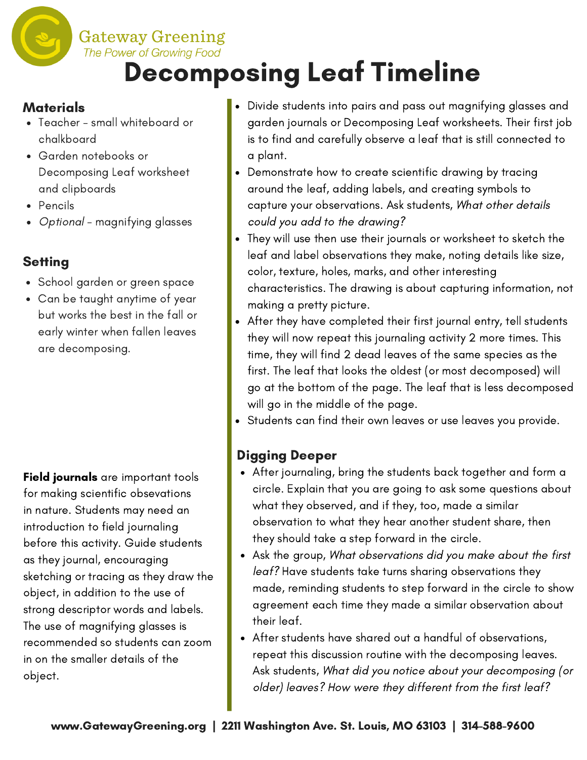**Gateway Greening** 

## The Power of Growing Food Decomposing Leaf Timeline

### **Materials**

- Teacher small whiteboard or chalkboard
- Garden notebooks or Decomposing Leaf worksheet and clipboards
- Pencils
- Optional magnifying glasses

## **Setting**

- School garden or green space
- Can be taught anytime of year but works the best in the fall or early winter when fallen leaves are decomposing.

Field journals are important tools for making scientific obsevations in nature. Students may need an introduction to field journaling before this activity. Guide students as they journal, encouraging sketching or tracing as they draw the object, in addition to the use of strong descriptor words and labels. The use of magnifying glasses is recommended so students can zoom in on the smaller details of the object.

- Divide students into pairs and pass out magnifying glasses and garden journals or Decomposing Leaf worksheets. Their first job is to find and carefully observe a leaf that is still connected to a plant.
- Demonstrate how to create scientific drawing by tracing around the leaf, adding labels, and creating symbols to capture your observations. Ask students, What other details could you add to the drawing?
- They will use then use their journals or worksheet to sketch the leaf and label observations they make, noting details like size, color, texture, holes, marks, and other interesting characteristics. The drawing is about capturing information, not making a pretty picture.
- After they have completed their first journal entry, tell students they will now repeat this journaling activity 2 more times. This time, they will find 2 dead leaves of the same species as the first. The leaf that looks the oldest (or most decomposed) will go at the bottom of the page. The leaf that is less decomposed will go in the middle of the page.
- Students can find their own leaves or use leaves you provide.

## Digging Deeper

- After journaling, bring the students back together and form a circle. Explain that you are going to ask some questions about what they observed, and if they, too, made a similar observation to what they hear another student share, then they should take a step forward in the circle.
- Ask the group, What observations did you make about the first leaf? Have students take turns sharing observations they made, reminding students to step forward in the circle to show agreement each time they made a similar observation about their leaf.
- After students have shared out a handful of observations, repeat this discussion routine with the decomposing leaves. Ask students, What did you notice about your decomposing (or older) leaves? How were they different from the first leaf?